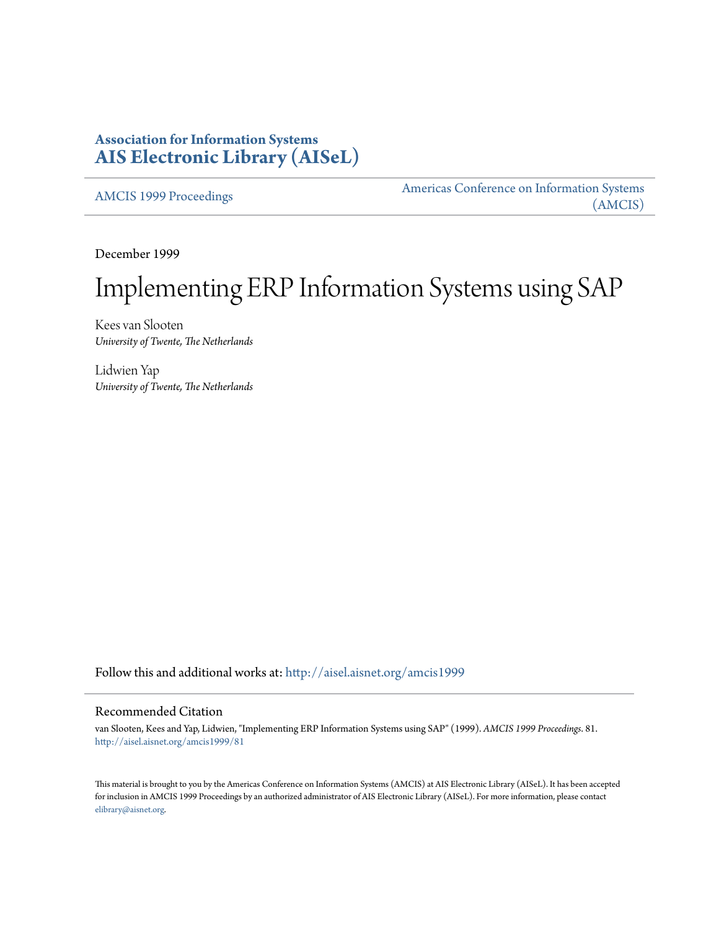# **Association for Information Systems [AIS Electronic Library \(AISeL\)](http://aisel.aisnet.org?utm_source=aisel.aisnet.org%2Famcis1999%2F81&utm_medium=PDF&utm_campaign=PDFCoverPages)**

[AMCIS 1999 Proceedings](http://aisel.aisnet.org/amcis1999?utm_source=aisel.aisnet.org%2Famcis1999%2F81&utm_medium=PDF&utm_campaign=PDFCoverPages)

[Americas Conference on Information Systems](http://aisel.aisnet.org/amcis?utm_source=aisel.aisnet.org%2Famcis1999%2F81&utm_medium=PDF&utm_campaign=PDFCoverPages) [\(AMCIS\)](http://aisel.aisnet.org/amcis?utm_source=aisel.aisnet.org%2Famcis1999%2F81&utm_medium=PDF&utm_campaign=PDFCoverPages)

December 1999

# Implementing ERP Information Systems using SAP

Kees van Slooten *University of Twente, The Netherlands*

Lidwien Yap *University of Twente, The Netherlands*

Follow this and additional works at: [http://aisel.aisnet.org/amcis1999](http://aisel.aisnet.org/amcis1999?utm_source=aisel.aisnet.org%2Famcis1999%2F81&utm_medium=PDF&utm_campaign=PDFCoverPages)

# Recommended Citation

van Slooten, Kees and Yap, Lidwien, "Implementing ERP Information Systems using SAP" (1999). *AMCIS 1999 Proceedings*. 81. [http://aisel.aisnet.org/amcis1999/81](http://aisel.aisnet.org/amcis1999/81?utm_source=aisel.aisnet.org%2Famcis1999%2F81&utm_medium=PDF&utm_campaign=PDFCoverPages)

This material is brought to you by the Americas Conference on Information Systems (AMCIS) at AIS Electronic Library (AISeL). It has been accepted for inclusion in AMCIS 1999 Proceedings by an authorized administrator of AIS Electronic Library (AISeL). For more information, please contact [elibrary@aisnet.org.](mailto:elibrary@aisnet.org%3E)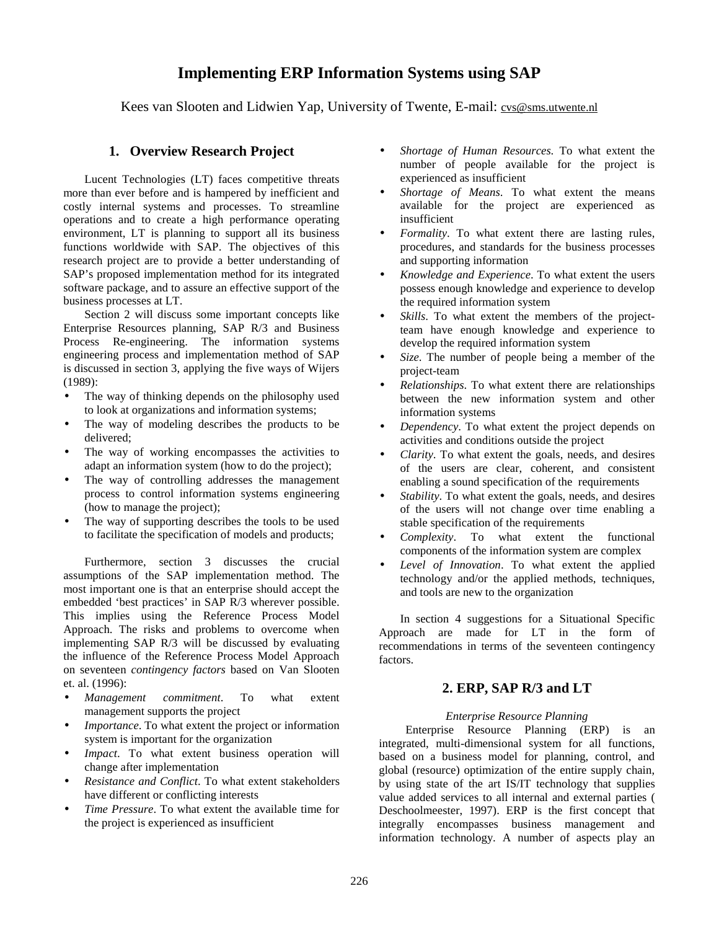# **Implementing ERP Information Systems using SAP**

Kees van Slooten and Lidwien Yap, University of Twente, E-mail: cvs@sms.utwente.nl

# **1. Overview Research Project**

Lucent Technologies (LT) faces competitive threats more than ever before and is hampered by inefficient and costly internal systems and processes. To streamline operations and to create a high performance operating environment, LT is planning to support all its business functions worldwide with SAP. The objectives of this research project are to provide a better understanding of SAP's proposed implementation method for its integrated software package, and to assure an effective support of the business processes at LT.

Section 2 will discuss some important concepts like Enterprise Resources planning, SAP R/3 and Business Process Re-engineering. The information systems engineering process and implementation method of SAP is discussed in section 3, applying the five ways of Wijers (1989):

- The way of thinking depends on the philosophy used to look at organizations and information systems;
- The way of modeling describes the products to be delivered;
- The way of working encompasses the activities to adapt an information system (how to do the project);
- The way of controlling addresses the management process to control information systems engineering (how to manage the project);
- The way of supporting describes the tools to be used to facilitate the specification of models and products;

Furthermore, section 3 discusses the crucial assumptions of the SAP implementation method. The most important one is that an enterprise should accept the embedded 'best practices' in SAP R/3 wherever possible. This implies using the Reference Process Model Approach. The risks and problems to overcome when implementing SAP R/3 will be discussed by evaluating the influence of the Reference Process Model Approach on seventeen *contingency factors* based on Van Slooten et. al. (1996):

- *Management commitment*. To what extent management supports the project
- *Importance*. To what extent the project or information system is important for the organization
- *Impact*. To what extent business operation will change after implementation
- *Resistance and Conflict*. To what extent stakeholders have different or conflicting interests
- *Time Pressure*. To what extent the available time for the project is experienced as insufficient
- *Shortage of Human Resources*. To what extent the number of people available for the project is experienced as insufficient
- *Shortage of Means*. To what extent the means available for the project are experienced as insufficient
- *Formality*. To what extent there are lasting rules, procedures, and standards for the business processes and supporting information
- *Knowledge and Experience*. To what extent the users possess enough knowledge and experience to develop the required information system
- *Skills*. To what extent the members of the projectteam have enough knowledge and experience to develop the required information system
- *Size*. The number of people being a member of the project-team
- *Relationships*. To what extent there are relationships between the new information system and other information systems
- *Dependency*. To what extent the project depends on activities and conditions outside the project
- *Clarity*. To what extent the goals, needs, and desires of the users are clear, coherent, and consistent enabling a sound specification of the requirements
- *Stability*. To what extent the goals, needs, and desires of the users will not change over time enabling a stable specification of the requirements
- *Complexity*. To what extent the functional components of the information system are complex
- Level of *Innovation*. To what extent the applied technology and/or the applied methods, techniques, and tools are new to the organization

In section 4 suggestions for a Situational Specific Approach are made for LT in the form of recommendations in terms of the seventeen contingency factors.

# **2. ERP, SAP R/3 and LT**

# *Enterprise Resource Planning*

Enterprise Resource Planning (ERP) is an integrated, multi-dimensional system for all functions, based on a business model for planning, control, and global (resource) optimization of the entire supply chain, by using state of the art IS/IT technology that supplies value added services to all internal and external parties ( Deschoolmeester, 1997). ERP is the first concept that integrally encompasses business management and information technology. A number of aspects play an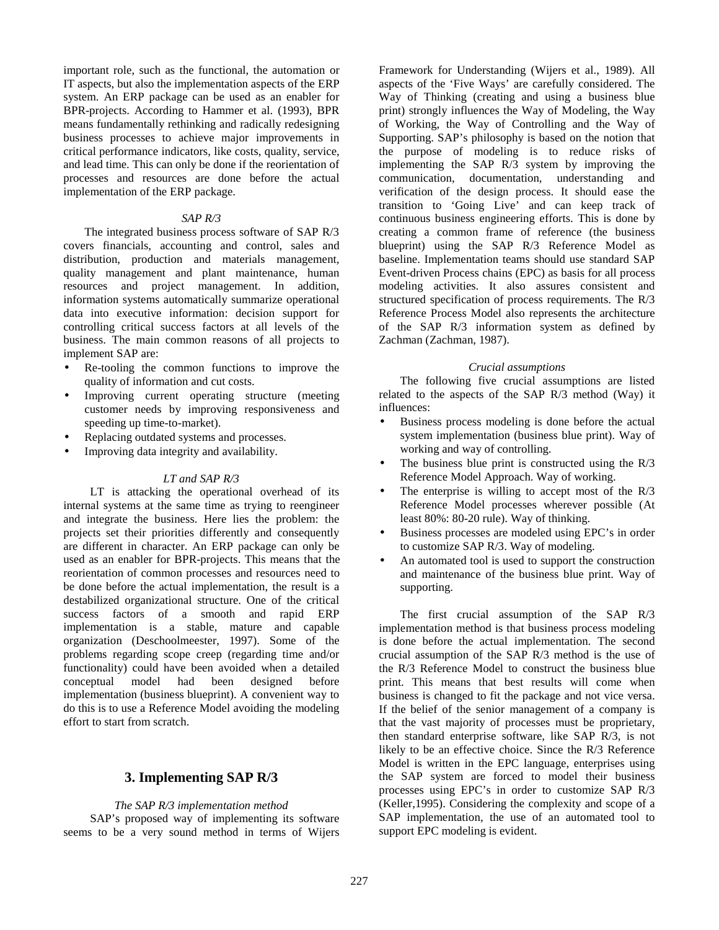important role, such as the functional, the automation or IT aspects, but also the implementation aspects of the ERP system. An ERP package can be used as an enabler for BPR-projects. According to Hammer et al. (1993), BPR means fundamentally rethinking and radically redesigning business processes to achieve major improvements in critical performance indicators, like costs, quality, service, and lead time. This can only be done if the reorientation of processes and resources are done before the actual implementation of the ERP package.

#### *SAP R/3*

The integrated business process software of SAP R/3 covers financials, accounting and control, sales and distribution, production and materials management, quality management and plant maintenance, human resources and project management. In addition, information systems automatically summarize operational data into executive information: decision support for controlling critical success factors at all levels of the business. The main common reasons of all projects to implement SAP are:

- Re-tooling the common functions to improve the quality of information and cut costs.
- Improving current operating structure (meeting customer needs by improving responsiveness and speeding up time-to-market).
- Replacing outdated systems and processes.
- Improving data integrity and availability.

#### *LT and SAP R/3*

LT is attacking the operational overhead of its internal systems at the same time as trying to reengineer and integrate the business. Here lies the problem: the projects set their priorities differently and consequently are different in character. An ERP package can only be used as an enabler for BPR-projects. This means that the reorientation of common processes and resources need to be done before the actual implementation, the result is a destabilized organizational structure. One of the critical success factors of a smooth and rapid ERP implementation is a stable, mature and capable organization (Deschoolmeester, 1997). Some of the problems regarding scope creep (regarding time and/or functionality) could have been avoided when a detailed conceptual model had been designed before implementation (business blueprint). A convenient way to do this is to use a Reference Model avoiding the modeling effort to start from scratch.

#### **3. Implementing SAP R/3**

#### *The SAP R/3 implementation method*

SAP's proposed way of implementing its software seems to be a very sound method in terms of Wijers

Framework for Understanding (Wijers et al., 1989). All aspects of the 'Five Ways' are carefully considered. The Way of Thinking (creating and using a business blue print) strongly influences the Way of Modeling, the Way of Working, the Way of Controlling and the Way of Supporting. SAP's philosophy is based on the notion that the purpose of modeling is to reduce risks of implementing the SAP R/3 system by improving the communication, documentation, understanding and verification of the design process. It should ease the transition to 'Going Live' and can keep track of continuous business engineering efforts. This is done by creating a common frame of reference (the business blueprint) using the SAP R/3 Reference Model as baseline. Implementation teams should use standard SAP Event-driven Process chains (EPC) as basis for all process modeling activities. It also assures consistent and structured specification of process requirements. The R/3 Reference Process Model also represents the architecture of the SAP R/3 information system as defined by Zachman (Zachman, 1987).

#### *Crucial assumptions*

The following five crucial assumptions are listed related to the aspects of the SAP R/3 method (Way) it influences:

- Business process modeling is done before the actual system implementation (business blue print). Way of working and way of controlling.
- The business blue print is constructed using the  $R/3$ Reference Model Approach. Way of working.
- The enterprise is willing to accept most of the  $R/3$ Reference Model processes wherever possible (At least 80%: 80-20 rule). Way of thinking.
- Business processes are modeled using EPC's in order to customize SAP R/3. Way of modeling.
- An automated tool is used to support the construction and maintenance of the business blue print. Way of supporting.

The first crucial assumption of the SAP R/3 implementation method is that business process modeling is done before the actual implementation. The second crucial assumption of the SAP R/3 method is the use of the R/3 Reference Model to construct the business blue print. This means that best results will come when business is changed to fit the package and not vice versa. If the belief of the senior management of a company is that the vast majority of processes must be proprietary, then standard enterprise software, like SAP R/3, is not likely to be an effective choice. Since the R/3 Reference Model is written in the EPC language, enterprises using the SAP system are forced to model their business processes using EPC's in order to customize SAP R/3 (Keller,1995). Considering the complexity and scope of a SAP implementation, the use of an automated tool to support EPC modeling is evident.